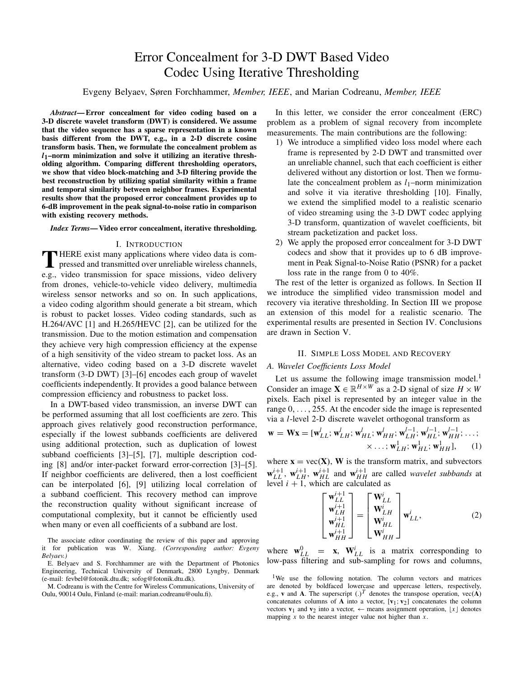# Error Concealment for 3-D DWT Based Video Codec Using Iterative Thresholding

Evgeny Belyaev, Søren Forchhammer, *Member, IEEE*, and Marian Codreanu, *Member, IEEE*

*Abstract***— Error concealment for video coding based on a 3-D discrete wavelet transform (DWT) is considered. We assume that the video sequence has a sparse representation in a known basis different from the DWT, e.g., in a 2-D discrete cosine transform basis. Then, we formulate the concealment problem as** *l***1–norm minimization and solve it utilizing an iterative thresholding algorithm. Comparing different thresholding operators, we show that video block-matching and 3-D filtering provide the best reconstruction by utilizing spatial similarity within a frame and temporal similarity between neighbor frames. Experimental results show that the proposed error concealment provides up to 6-dB improvement in the peak signal-to-noise ratio in comparison with existing recovery methods.**

#### *Index Terms***— Video error concealment, iterative thresholding.**

### I. INTRODUCTION

**T**HERE exist many applications where video data is com-<br>pressed and transmitted over unreliable wireless channels, e.g., video transmission for space missions, video delivery from drones, vehicle-to-vehicle video delivery, multimedia wireless sensor networks and so on. In such applications, a video coding algorithm should generate a bit stream, which is robust to packet losses. Video coding standards, such as H.264/AVC [1] and H.265/HEVC [2], can be utilized for the transmission. Due to the motion estimation and compensation they achieve very high compression efficiency at the expense of a high sensitivity of the video stream to packet loss. As an alternative, video coding based on a 3-D discrete wavelet transform (3-D DWT) [3]–[6] encodes each group of wavelet coefficients independently. It provides a good balance between compression efficiency and robustness to packet loss.

In a DWT-based video transmission, an inverse DWT can be performed assuming that all lost coefficients are zero. This approach gives relatively good reconstruction performance, especially if the lowest subbands coefficients are delivered using additional protection, such as duplication of lowest subband coefficients [3]–[5], [7], multiple description coding [8] and/or inter-packet forward error-correction [3]–[5]. If neighbor coefficients are delivered, then a lost coefficient can be interpolated [6], [9] utilizing local correlation of a subband coefficient. This recovery method can improve the reconstruction quality without significant increase of computational complexity, but it cannot be efficiently used when many or even all coefficients of a subband are lost.

The associate editor coordinating the review of this paper and approving it for publication was W. Xiang. *(Corresponding author: Evgeny Belyaev.)*

E. Belyaev and S. Forchhammer are with the Department of Photonics Engineering, Technical University of Denmark, 2800 Lyngby, Denmark (e-mail: fevbel@fotonik.dtu.dk; sofog@fotonik.dtu.dk).

M. Codreanu is with the Centre for Wireless Communications, University of Oulu, 90014 Oulu, Finland (e-mail: marian.codreanu@oulu.fi).

In this letter, we consider the error concealment (ERC) problem as a problem of signal recovery from incomplete measurements. The main contributions are the following:

- 1) We introduce a simplified video loss model where each frame is represented by 2-D DWT and transmitted over an unreliable channel, such that each coefficient is either delivered without any distortion or lost. Then we formulate the concealment problem as  $l_1$ –norm minimization and solve it via iterative thresholding [10]. Finally, we extend the simplified model to a realistic scenario of video streaming using the 3-D DWT codec applying 3-D transform, quantization of wavelet coefficients, bit stream packetization and packet loss.
- 2) We apply the proposed error concealment for 3-D DWT codecs and show that it provides up to 6 dB improvement in Peak Signal-to-Noise Ratio (PSNR) for a packet loss rate in the range from 0 to 40%.

The rest of the letter is organized as follows. In Section II we introduce the simplified video transmission model and recovery via iterative thresholding. In Section III we propose an extension of this model for a realistic scenario. The experimental results are presented in Section IV. Conclusions are drawn in Section V.

#### II. SIMPLE LOSS MODEL AND RECOVERY

## *A. Wavelet Coefficients Loss Model*

Let us assume the following image transmission model.<sup>1</sup> Consider an image  $X \in \mathbb{R}^{H \times W}$  as a 2-D signal of size  $H \times W$ pixels. Each pixel is represented by an integer value in the range 0,..., 255. At the encoder side the image is represented via a *l*-level 2-D discrete wavelet orthogonal transform as

$$
\mathbf{w} = \mathbf{Wx} = [\mathbf{w}_{LL}^l; \mathbf{w}_{LH}^l; \mathbf{w}_{HL}^l; \mathbf{w}_{HH}^l; \mathbf{w}_{LH}^{l-1}; \mathbf{w}_{HL}^{l-1}; \mathbf{w}_{HH}^{l-1}; \dots; \times \dots; \mathbf{w}_{LH}^l; \mathbf{w}_{HL}^l; \mathbf{w}_{HH}^l], \quad (1)
$$

where  $\mathbf{x} = \text{vec}(\mathbf{X})$ , **W** is the transform matrix, and subvectors  $\mathbf{w}_{LL}^{i+1}$ ,  $\mathbf{w}_{L}^{i+1}$ ,  $\mathbf{w}_{HL}^{i+1}$  and  $\mathbf{w}_{HH}^{i+1}$  are called *wavelet subbands* at level  $i + 1$ , which are calculated as

$$
\begin{bmatrix}\n\mathbf{w}_{LL}^{i+1} \\
\mathbf{w}_{LH}^{i+1} \\
\mathbf{w}_{HL}^{i+1} \\
\mathbf{w}_{HH}^{i+1}\n\end{bmatrix} = \begin{bmatrix}\n\mathbf{W}_{LL}^{i} \\
\mathbf{W}_{LH}^{i} \\
\mathbf{W}_{HL}^{i} \\
\mathbf{W}_{HH}^{i}\n\end{bmatrix} \mathbf{w}_{LL}^{i},
$$
\n(2)

where  $\mathbf{w}_{LL}^0 = \mathbf{x}$ ,  $\mathbf{W}_{LL}^i$  is a matrix corresponding to low-pass filtering and sub-sampling for rows and columns,

<sup>&</sup>lt;sup>1</sup>We use the following notation. The column vectors and matrices are denoted by boldfaced lowercase and uppercase letters, respectively, e.g., **v** and **A**. The superscript  $(.)^T$  denotes the transpose operation,  $vec(A)$ concatenates columns of **A** into a vector,  $[\mathbf{v}_1; \mathbf{v}_2]$  concatenates the column vectors **v**<sub>1</sub> and **v**<sub>2</sub> into a vector,  $\leftarrow$  means assignment operation,  $\lfloor x \rfloor$  denotes mapping *x* to the nearest integer value not higher than *x*.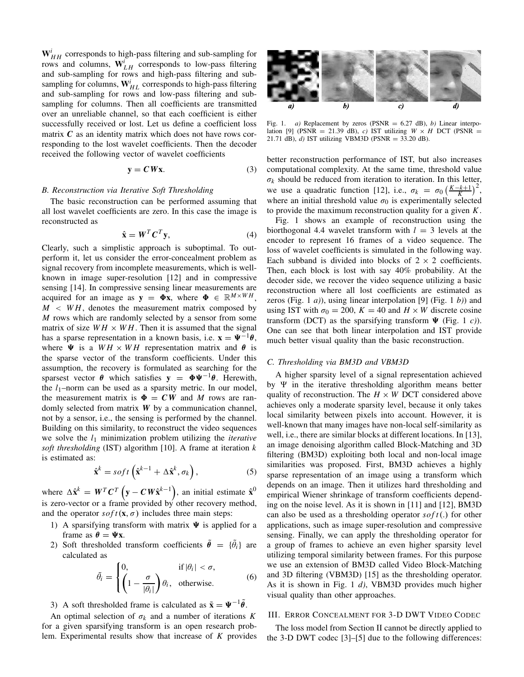$W_{HH}^{i}$  corresponds to high-pass filtering and sub-sampling for rows and columns,  $W_{LH}^{i}$  corresponds to low-pass filtering and sub-sampling for rows and high-pass filtering and subsampling for columns,  $\mathbf{W}_{HL}^i$  corresponds to high-pass filtering and sub-sampling for rows and low-pass filtering and subsampling for columns. Then all coefficients are transmitted over an unreliable channel, so that each coefficient is either successfully received or lost. Let us define a coefficient loss matrix  $C$  as an identity matrix which does not have rows corresponding to the lost wavelet coefficients. Then the decoder received the following vector of wavelet coefficients

$$
y = CWx.
$$
 (3)

#### *B. Reconstruction via Iterative Soft Thresholding*

The basic reconstruction can be performed assuming that all lost wavelet coefficients are zero. In this case the image is reconstructed as

$$
\hat{\mathbf{x}} = \mathbf{W}^T \mathbf{C}^T \mathbf{y},\tag{4}
$$

Clearly, such a simplistic approach is suboptimal. To outperform it, let us consider the error-concealment problem as signal recovery from incomplete measurements, which is wellknown in image super-resolution [12] and in compressive sensing [14]. In compressive sensing linear measurements are acquired for an image as  $y = \Phi x$ , where  $\Phi \in \mathbb{R}^{M \times WH}$ ,  $M \leq WH$ , denotes the measurement matrix composed by *M* rows which are randomly selected by a sensor from some matrix of size  $WH \times WH$ . Then it is assumed that the signal has a sparse representation in a known basis, i.e.  $\mathbf{x} = \Psi^{-1} \theta$ , where  $\Psi$  is a  $WH \times WH$  representation matrix and  $\theta$  is the sparse vector of the transform coefficients. Under this assumption, the recovery is formulated as searching for the sparsest vector  $\theta$  which satisfies  $y = \Phi \Psi^{-1} \theta$ . Herewith, the  $l_1$ –norm can be used as a sparsity metric. In our model, the measurement matrix is  $\Phi = CW$  and *M* rows are randomly selected from matrix *W* by a communication channel, not by a sensor, i.e., the sensing is performed by the channel. Building on this similarity, to reconstruct the video sequences we solve the *l*<sup>1</sup> minimization problem utilizing the *iterative soft thresholding* (IST) algorithm [10]. A frame at iteration *k* is estimated as:

$$
\hat{\mathbf{x}}^k = soft\left(\hat{\mathbf{x}}^{k-1} + \Delta \hat{\mathbf{x}}^k, \sigma_k\right),\tag{5}
$$

where  $\Delta \hat{\mathbf{x}}^k = W^T C^T \left( \mathbf{y} - C W \hat{\mathbf{x}}^{k-1} \right)$ , an initial estimate  $\hat{\mathbf{x}}^0$ is zero-vector or a frame provided by other recovery method, and the operator  $\text{soft}(\mathbf{x}, \sigma)$  includes three main steps:

- 1) A sparsifying transform with matrix  $\Psi$  is applied for a frame as  $\theta = \Psi x$ .
- 2) Soft thresholded transform coefficients  $\tilde{\theta} = {\tilde{\theta}_i}$  are calculated as

$$
\tilde{\theta}_i = \begin{cases} 0, & \text{if } |\theta_i| < \sigma, \\ \left(1 - \frac{\sigma}{|\theta_i|}\right) \theta_i, & \text{otherwise.} \end{cases} \tag{6}
$$

3) A soft thresholded frame is calculated as  $\tilde{\mathbf{x}} = \Psi^{-1} \tilde{\theta}$ .

An optimal selection of  $\sigma_k$  and a number of iterations *K* for a given sparsifying transform is an open research problem. Experimental results show that increase of *K* provides



Fig. 1. *a*) Replacement by zeros (PSNR =  $6.27$  dB), *b*) Linear interpolation [9] (PSNR = 21.39 dB), *c*) IST utilizing  $W \times H$  DCT (PSNR = 21.71 dB), *d)* IST utilizing VBM3D (PSNR = 33.20 dB).

better reconstruction performance of IST, but also increases computational complexity. At the same time, threshold value  $\sigma_k$  should be reduced from iteration to iteration. In this letter, we use a quadratic function [12], i.e.,  $\sigma_k = \sigma_0 \left(\frac{K-k+1}{K}\right)^2$ , where an initial threshold value  $\sigma_0$  is experimentally selected to provide the maximum reconstruction quality for a given *K*.

Fig. 1 shows an example of reconstruction using the biorthogonal 4.4 wavelet transform with  $l = 3$  levels at the encoder to represent 16 frames of a video sequence. The loss of wavelet coefficients is simulated in the following way. Each subband is divided into blocks of  $2 \times 2$  coefficients. Then, each block is lost with say 40% probability. At the decoder side, we recover the video sequence utilizing a basic reconstruction where all lost coefficients are estimated as zeros (Fig. 1 *a)*), using linear interpolation [9] (Fig. 1 *b)*) and using IST with  $\sigma_0 = 200$ ,  $K = 40$  and  $H \times W$  discrete cosine transform (DCT) as the sparsifying transform  $\Psi$  (Fig. 1 *c*)). One can see that both linear interpolation and IST provide much better visual quality than the basic reconstruction.

#### *C. Thresholding via BM3D and VBM3D*

A higher sparsity level of a signal representation achieved by  $\Psi$  in the iterative thresholding algorithm means better quality of reconstruction. The  $H \times W$  DCT considered above achieves only a moderate sparsity level, because it only takes local similarity between pixels into account. However, it is well-known that many images have non-local self-similarity as well, i.e., there are similar blocks at different locations. In [13], an image denoising algorithm called Block-Matching and 3D filtering (BM3D) exploiting both local and non-local image similarities was proposed. First, BM3D achieves a highly sparse representation of an image using a transform which depends on an image. Then it utilizes hard thresholding and empirical Wiener shrinkage of transform coefficients depending on the noise level. As it is shown in [11] and [12], BM3D can also be used as a thresholding operator *sof t*(.) for other applications, such as image super-resolution and compressive sensing. Finally, we can apply the thresholding operator for a group of frames to achieve an even higher sparsity level utilizing temporal similarity between frames. For this purpose we use an extension of BM3D called Video Block-Matching and 3D filtering (VBM3D) [15] as the thresholding operator. As it is shown in Fig. 1 *d)*, VBM3D provides much higher visual quality than other approaches.

## III. ERROR CONCEALMENT FOR 3-D DWT VIDEO CODEC

The loss model from Section II cannot be directly applied to the 3-D DWT codec [3]–[5] due to the following differences: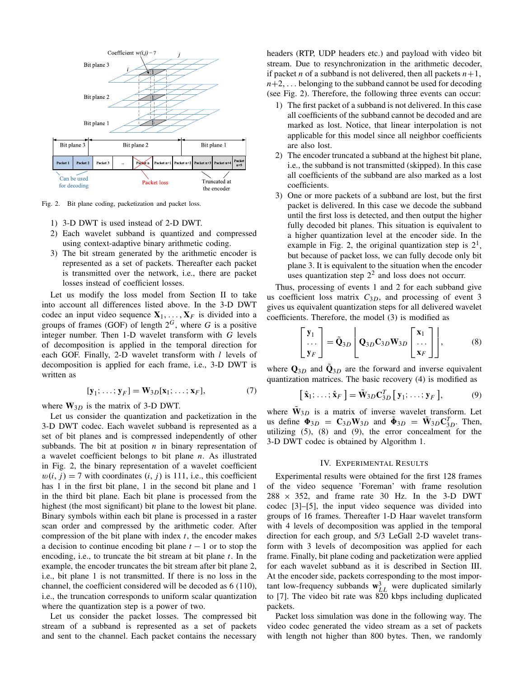

Fig. 2. Bit plane coding, packetization and packet loss.

- 1) 3-D DWT is used instead of 2-D DWT.
- 2) Each wavelet subband is quantized and compressed using context-adaptive binary arithmetic coding.
- 3) The bit stream generated by the arithmetic encoder is represented as a set of packets. Thereafter each packet is transmitted over the network, i.e., there are packet losses instead of coefficient losses.

Let us modify the loss model from Section II to take into account all differences listed above. In the 3-D DWT codec an input video sequence  $X_1, \ldots, X_F$  is divided into a groups of frames (GOF) of length  $2^G$ , where G is a positive integer number. Then 1-D wavelet transform with *G* levels of decomposition is applied in the temporal direction for each GOF. Finally, 2-D wavelet transform with *l* levels of decomposition is applied for each frame, i.e., 3-D DWT is written as

$$
[\mathbf{y}_1; \ldots; \mathbf{y}_F] = \mathbf{W}_{3D}[\mathbf{x}_1; \ldots; \mathbf{x}_F],\tag{7}
$$

where **W**3*<sup>D</sup>* is the matrix of 3-D DWT.

Let us consider the quantization and packetization in the 3-D DWT codec. Each wavelet subband is represented as a set of bit planes and is compressed independently of other subbands. The bit at position *n* in binary representation of a wavelet coefficient belongs to bit plane *n*. As illustrated in Fig. 2, the binary representation of a wavelet coefficient  $w(i, j) = 7$  with coordinates  $(i, j)$  is 111, i.e., this coefficient has 1 in the first bit plane, 1 in the second bit plane and 1 in the third bit plane. Each bit plane is processed from the highest (the most significant) bit plane to the lowest bit plane. Binary symbols within each bit plane is processed in a raster scan order and compressed by the arithmetic coder. After compression of the bit plane with index *t*, the encoder makes a decision to continue encoding bit plane *t* − 1 or to stop the encoding, i.e., to truncate the bit stream at bit plane *t*. In the example, the encoder truncates the bit stream after bit plane 2, i.e., bit plane 1 is not transmitted. If there is no loss in the channel, the coefficient considered will be decoded as 6 (110), i.e., the truncation corresponds to uniform scalar quantization where the quantization step is a power of two.

Let us consider the packet losses. The compressed bit stream of a subband is represented as a set of packets and sent to the channel. Each packet contains the necessary headers (RTP, UDP headers etc.) and payload with video bit stream. Due to resynchronization in the arithmetic decoder, if packet *n* of a subband is not delivered, then all packets  $n+1$ ,  $n+2$ ,... belonging to the subband cannot be used for decoding (see Fig. 2). Therefore, the following three events can occur:

- 1) The first packet of a subband is not delivered. In this case all coefficients of the subband cannot be decoded and are marked as lost. Notice, that linear interpolation is not applicable for this model since all neighbor coefficients are also lost.
- 2) The encoder truncated a subband at the highest bit plane, i.e., the subband is not transmitted (skipped). In this case all coefficients of the subband are also marked as a lost coefficients.
- 3) One or more packets of a subband are lost, but the first packet is delivered. In this case we decode the subband until the first loss is detected, and then output the higher fully decoded bit planes. This situation is equivalent to a higher quantization level at the encoder side. In the example in Fig. 2, the original quantization step is  $2<sup>1</sup>$ , but because of packet loss, we can fully decode only bit plane 3. It is equivalent to the situation when the encoder uses quantization step  $2<sup>2</sup>$  and loss does not occurr.

Thus, processing of events 1 and 2 for each subband give us coefficient loss matrix  $C_{3D}$ , and processing of event 3 gives us equivalent quantization steps for all delivered wavelet coefficients. Therefore, the model (3) is modified as

$$
\begin{bmatrix} \mathbf{y}_1 \\ \cdots \\ \mathbf{y}_F \end{bmatrix} = \tilde{\mathbf{Q}}_{3D} \begin{bmatrix} \mathbf{Q}_{3D} \mathbf{C}_{3D} \mathbf{W}_{3D} \begin{bmatrix} \mathbf{x}_1 \\ \cdots \\ \mathbf{x}_F \end{bmatrix} \end{bmatrix},
$$
(8)

where  $\mathbf{Q}_{3D}$  and  $\mathbf{Q}_{3D}$  are the forward and inverse equivalent quantization matrices. The basic recovery (4) is modified as

$$
\left[\hat{\mathbf{x}}_1; \ldots; \hat{\mathbf{x}}_F\right] = \tilde{\mathbf{W}}_{3D} \mathbf{C}_{3D}^T \left[\mathbf{y}_1; \ldots; \mathbf{y}_F\right],\tag{9}
$$

where  $\tilde{W}_{3D}$  is a matrix of inverse wavelet transform. Let us define  $\Phi_{3D} = C_{3D}W_{3D}$  and  $\tilde{\Phi}_{3D} = \tilde{W}_{3D}C_{3D}^T$ . Then, utilizing (5), (8) and (9), the error concealment for the 3-D DWT codec is obtained by Algorithm 1.

#### IV. EXPERIMENTAL RESULTS

Experimental results were obtained for the first 128 frames of the video sequence 'Foreman' with frame resolution  $288 \times 352$ , and frame rate 30 Hz. In the 3-D DWT codec [3]–[5], the input video sequence was divided into groups of 16 frames. Thereafter 1-D Haar wavelet transform with 4 levels of decomposition was applied in the temporal direction for each group, and 5/3 LeGall 2-D wavelet transform with 3 levels of decomposition was applied for each frame. Finally, bit plane coding and packetization were applied for each wavelet subband as it is described in Section III. At the encoder side, packets corresponding to the most impor- $\text{tan}$  low-frequency subbands  $\mathbf{w}_{LL}^3$  were duplicated similarly to [7]. The video bit rate was 820 kbps including duplicated packets.

Packet loss simulation was done in the following way. The video codec generated the video stream as a set of packets with length not higher than 800 bytes. Then, we randomly